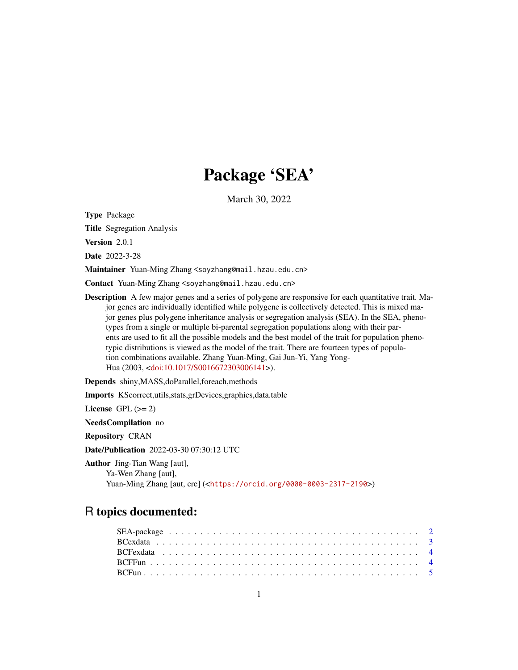# Package 'SEA'

March 30, 2022

Type Package

Title Segregation Analysis

Version 2.0.1

Date 2022-3-28

Maintainer Yuan-Ming Zhang <soyzhang@mail.hzau.edu.cn>

Contact Yuan-Ming Zhang <soyzhang@mail.hzau.edu.cn>

Description A few major genes and a series of polygene are responsive for each quantitative trait. Major genes are individually identified while polygene is collectively detected. This is mixed major genes plus polygene inheritance analysis or segregation analysis (SEA). In the SEA, phenotypes from a single or multiple bi-parental segregation populations along with their parents are used to fit all the possible models and the best model of the trait for population phenotypic distributions is viewed as the model of the trait. There are fourteen types of population combinations available. Zhang Yuan-Ming, Gai Jun-Yi, Yang Yong-Hua (2003, [<doi:10.1017/S0016672303006141>](https://doi.org/10.1017/S0016672303006141)).

Depends shiny,MASS,doParallel,foreach,methods

Imports KScorrect,utils,stats,grDevices,graphics,data.table

License GPL  $(>= 2)$ 

NeedsCompilation no

Repository CRAN

Date/Publication 2022-03-30 07:30:12 UTC

Author Jing-Tian Wang [aut], Ya-Wen Zhang [aut], Yuan-Ming Zhang [aut, cre] (<<https://orcid.org/0000-0003-2317-2190>>)

# R topics documented: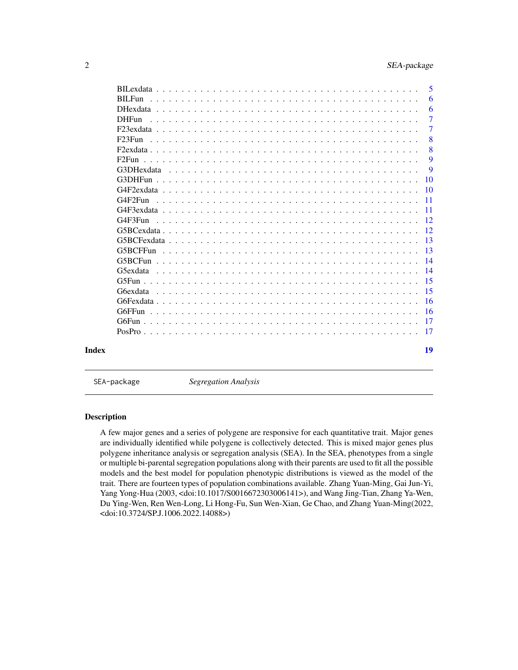<span id="page-1-0"></span>

| $RII$ Fun<br>$DHF$ <sub>11</sub> n<br><u>. De la caractería de la caractería de la caractería de la caractería de la caractería de la caractería de la </u><br>$G4F3F$ un<br>G6FFun<br>Index |  | 5               |
|----------------------------------------------------------------------------------------------------------------------------------------------------------------------------------------------|--|-----------------|
|                                                                                                                                                                                              |  | 6               |
|                                                                                                                                                                                              |  | 6               |
|                                                                                                                                                                                              |  | $\overline{7}$  |
|                                                                                                                                                                                              |  | $\overline{7}$  |
|                                                                                                                                                                                              |  | 8               |
|                                                                                                                                                                                              |  | 8               |
|                                                                                                                                                                                              |  | 9               |
|                                                                                                                                                                                              |  | 9               |
|                                                                                                                                                                                              |  | 10              |
|                                                                                                                                                                                              |  | 10              |
|                                                                                                                                                                                              |  | -11             |
|                                                                                                                                                                                              |  | $\overline{11}$ |
|                                                                                                                                                                                              |  | -12             |
|                                                                                                                                                                                              |  | -12             |
|                                                                                                                                                                                              |  | -13             |
|                                                                                                                                                                                              |  | $\overline{13}$ |
|                                                                                                                                                                                              |  | -14             |
|                                                                                                                                                                                              |  | -14             |
|                                                                                                                                                                                              |  | -15             |
|                                                                                                                                                                                              |  | -15             |
|                                                                                                                                                                                              |  | -16             |
|                                                                                                                                                                                              |  | -16             |
|                                                                                                                                                                                              |  | -17             |
|                                                                                                                                                                                              |  |                 |
|                                                                                                                                                                                              |  | 19              |

SEA-package *Segregation Analysis*

# Description

A few major genes and a series of polygene are responsive for each quantitative trait. Major genes are individually identified while polygene is collectively detected. This is mixed major genes plus polygene inheritance analysis or segregation analysis (SEA). In the SEA, phenotypes from a single or multiple bi-parental segregation populations along with their parents are used to fit all the possible models and the best model for population phenotypic distributions is viewed as the model of the trait. There are fourteen types of population combinations available. Zhang Yuan-Ming, Gai Jun-Yi, Yang Yong-Hua (2003, <doi:10.1017/S0016672303006141>), and Wang Jing-Tian, Zhang Ya-Wen, Du Ying-Wen, Ren Wen-Long, Li Hong-Fu, Sun Wen-Xian, Ge Chao, and Zhang Yuan-Ming(2022, <doi:10.3724/SP.J.1006.2022.14088>)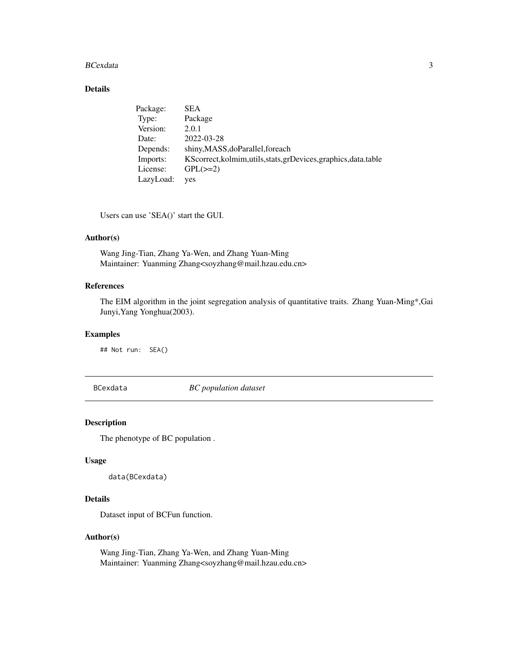#### <span id="page-2-0"></span>BCexdata 3

# Details

| Package:  | <b>SEA</b>                                                       |
|-----------|------------------------------------------------------------------|
| Type:     | Package                                                          |
| Version:  | 2.0.1                                                            |
| Date:     | 2022-03-28                                                       |
| Depends:  | shiny, MASS, do Parallel, foreach                                |
| Imports:  | KScorrect, kolmim, utils, stats, grDevices, graphics, data.table |
| License:  | $GPL(\geq=2)$                                                    |
| LazyLoad: | yes                                                              |

Users can use 'SEA()' start the GUI.

# Author(s)

Wang Jing-Tian, Zhang Ya-Wen, and Zhang Yuan-Ming Maintainer: Yuanming Zhang<soyzhang@mail.hzau.edu.cn>

# References

The EIM algorithm in the joint segregation analysis of quantitative traits. Zhang Yuan-Ming\*,Gai Junyi,Yang Yonghua(2003).

# Examples

## Not run: SEA()

BCexdata *BC population dataset*

#### Description

The phenotype of BC population .

# Usage

data(BCexdata)

# Details

Dataset input of BCFun function.

# Author(s)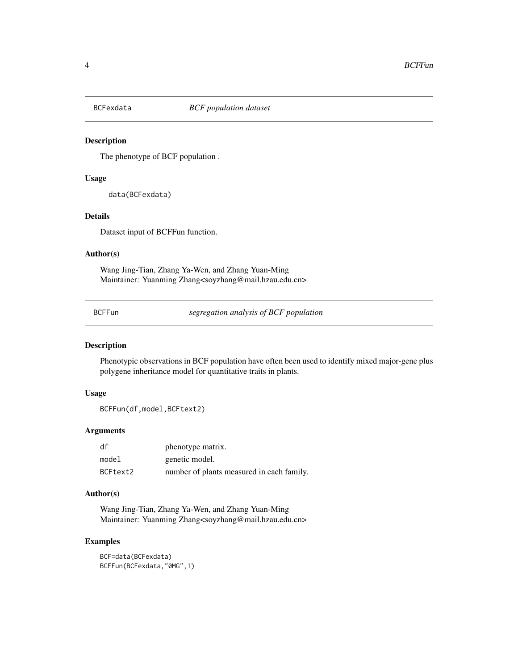<span id="page-3-0"></span>

The phenotype of BCF population .

#### Usage

data(BCFexdata)

#### Details

Dataset input of BCFFun function.

#### Author(s)

Wang Jing-Tian, Zhang Ya-Wen, and Zhang Yuan-Ming Maintainer: Yuanming Zhang<soyzhang@mail.hzau.edu.cn>

BCFFun *segregation analysis of BCF population*

## Description

Phenotypic observations in BCF population have often been used to identify mixed major-gene plus polygene inheritance model for quantitative traits in plants.

#### Usage

BCFFun(df,model,BCFtext2)

#### Arguments

| df       | phenotype matrix.                         |
|----------|-------------------------------------------|
| model    | genetic model.                            |
| BCFtext2 | number of plants measured in each family. |

# Author(s)

Wang Jing-Tian, Zhang Ya-Wen, and Zhang Yuan-Ming Maintainer: Yuanming Zhang<soyzhang@mail.hzau.edu.cn>

# Examples

BCF=data(BCFexdata) BCFFun(BCFexdata,"0MG",1)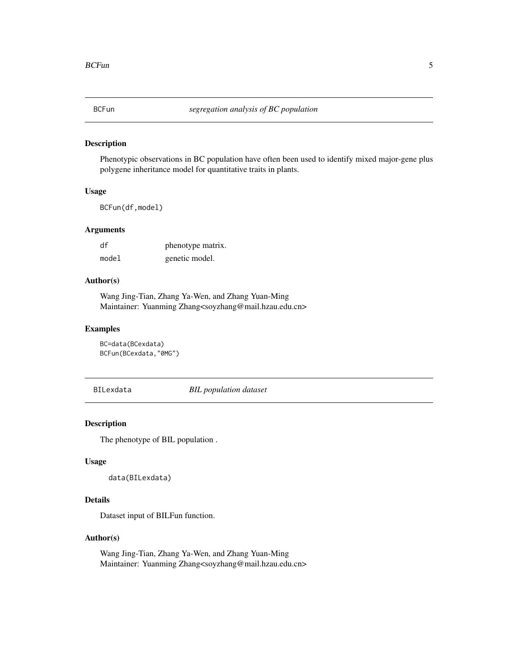<span id="page-4-0"></span>

Phenotypic observations in BC population have often been used to identify mixed major-gene plus polygene inheritance model for quantitative traits in plants.

# Usage

BCFun(df,model)

# Arguments

| df    | phenotype matrix. |
|-------|-------------------|
| model | genetic model.    |

#### Author(s)

Wang Jing-Tian, Zhang Ya-Wen, and Zhang Yuan-Ming Maintainer: Yuanming Zhang<soyzhang@mail.hzau.edu.cn>

#### Examples

```
BC=data(BCexdata)
BCFun(BCexdata,"0MG")
```
BILexdata *BIL population dataset*

# Description

The phenotype of BIL population .

#### Usage

data(BILexdata)

# Details

Dataset input of BILFun function.

#### Author(s)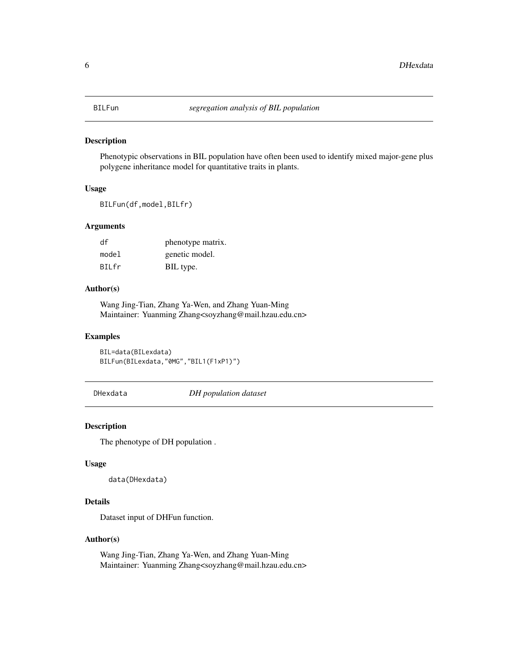<span id="page-5-0"></span>Phenotypic observations in BIL population have often been used to identify mixed major-gene plus polygene inheritance model for quantitative traits in plants.

# Usage

BILFun(df,model,BILfr)

# Arguments

| df     | phenotype matrix. |
|--------|-------------------|
| model  | genetic model.    |
| BII fr | BIL type.         |

# Author(s)

Wang Jing-Tian, Zhang Ya-Wen, and Zhang Yuan-Ming Maintainer: Yuanming Zhang<soyzhang@mail.hzau.edu.cn>

#### Examples

BIL=data(BILexdata) BILFun(BILexdata,"0MG","BIL1(F1xP1)")

DHexdata *DH population dataset*

#### Description

The phenotype of DH population .

#### Usage

data(DHexdata)

# Details

Dataset input of DHFun function.

# Author(s)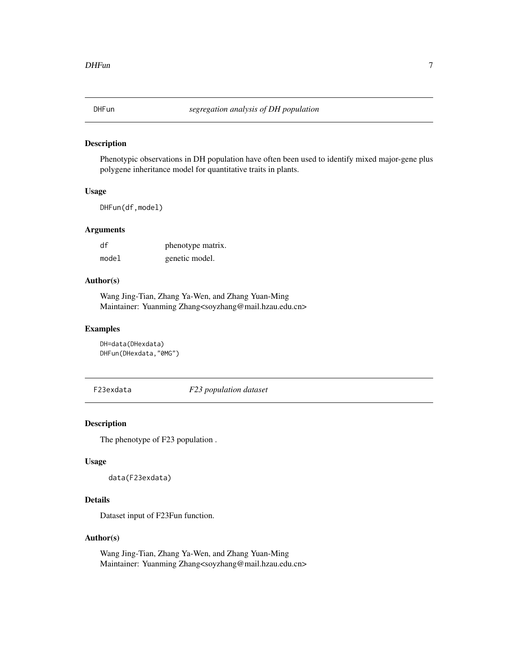<span id="page-6-0"></span>

Phenotypic observations in DH population have often been used to identify mixed major-gene plus polygene inheritance model for quantitative traits in plants.

# Usage

DHFun(df,model)

# Arguments

| df    | phenotype matrix. |
|-------|-------------------|
| model | genetic model.    |

#### Author(s)

Wang Jing-Tian, Zhang Ya-Wen, and Zhang Yuan-Ming Maintainer: Yuanming Zhang<soyzhang@mail.hzau.edu.cn>

#### Examples

```
DH=data(DHexdata)
DHFun(DHexdata,"0MG")
```
F23exdata *F23 population dataset*

# Description

The phenotype of F23 population .

#### Usage

```
data(F23exdata)
```
# Details

Dataset input of F23Fun function.

#### Author(s)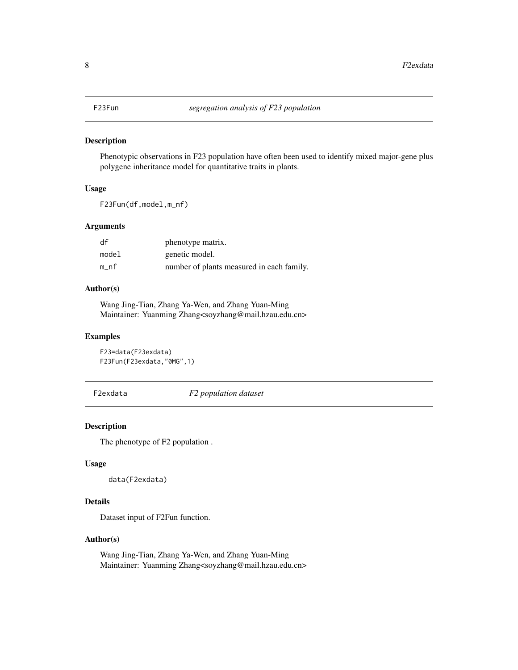<span id="page-7-0"></span>Phenotypic observations in F23 population have often been used to identify mixed major-gene plus polygene inheritance model for quantitative traits in plants.

# Usage

F23Fun(df,model,m\_nf)

# Arguments

| df    | phenotype matrix.                         |
|-------|-------------------------------------------|
| model | genetic model.                            |
| m nf  | number of plants measured in each family. |

# Author(s)

Wang Jing-Tian, Zhang Ya-Wen, and Zhang Yuan-Ming Maintainer: Yuanming Zhang<soyzhang@mail.hzau.edu.cn>

#### Examples

```
F23=data(F23exdata)
F23Fun(F23exdata,"0MG",1)
```
F2exdata *F2 population dataset*

#### Description

The phenotype of F2 population .

#### Usage

```
data(F2exdata)
```
# Details

Dataset input of F2Fun function.

# Author(s)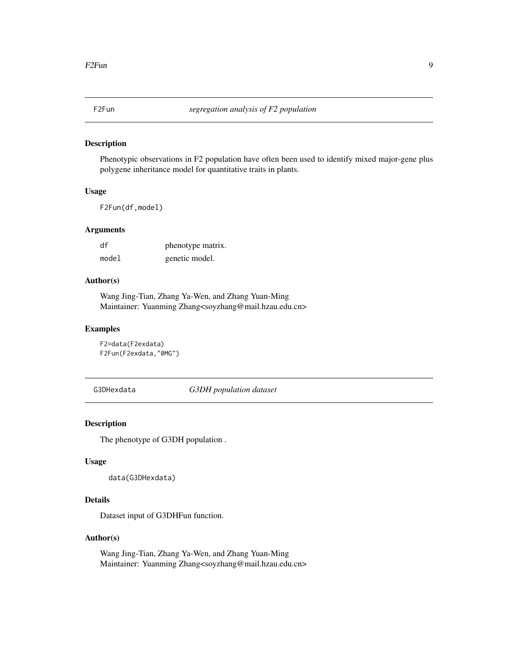<span id="page-8-0"></span>

Phenotypic observations in F2 population have often been used to identify mixed major-gene plus polygene inheritance model for quantitative traits in plants.

# Usage

F2Fun(df,model)

# Arguments

| df    | phenotype matrix. |
|-------|-------------------|
| model | genetic model.    |

#### Author(s)

Wang Jing-Tian, Zhang Ya-Wen, and Zhang Yuan-Ming Maintainer: Yuanming Zhang<soyzhang@mail.hzau.edu.cn>

#### Examples

```
F2=data(F2exdata)
F2Fun(F2exdata,"0MG")
```
G3DHexdata *G3DH population dataset*

# Description

The phenotype of G3DH population .

# Usage

data(G3DHexdata)

# Details

Dataset input of G3DHFun function.

#### Author(s)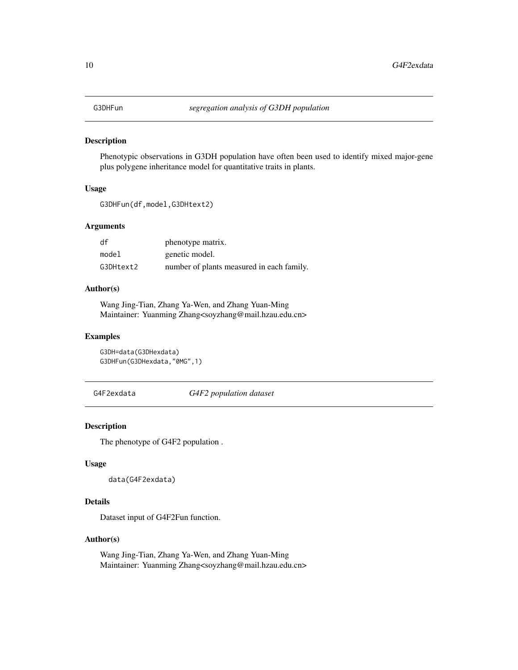<span id="page-9-0"></span>

Phenotypic observations in G3DH population have often been used to identify mixed major-gene plus polygene inheritance model for quantitative traits in plants.

#### Usage

```
G3DHFun(df,model,G3DHtext2)
```
# Arguments

| df        | phenotype matrix.                         |
|-----------|-------------------------------------------|
| model     | genetic model.                            |
| G3DHtext2 | number of plants measured in each family. |

# Author(s)

Wang Jing-Tian, Zhang Ya-Wen, and Zhang Yuan-Ming Maintainer: Yuanming Zhang<soyzhang@mail.hzau.edu.cn>

#### Examples

```
G3DH=data(G3DHexdata)
G3DHFun(G3DHexdata,"0MG",1)
```
G4F2exdata *G4F2 population dataset*

#### Description

The phenotype of G4F2 population .

#### Usage

```
data(G4F2exdata)
```
# Details

Dataset input of G4F2Fun function.

# Author(s)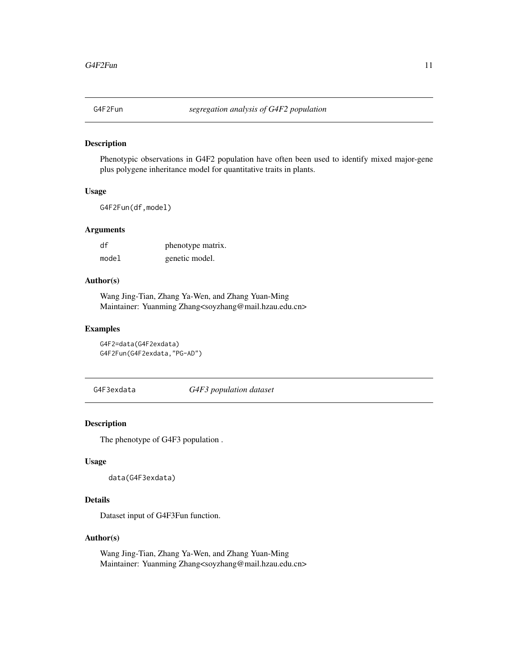<span id="page-10-0"></span>

Phenotypic observations in G4F2 population have often been used to identify mixed major-gene plus polygene inheritance model for quantitative traits in plants.

# Usage

G4F2Fun(df,model)

# Arguments

| df    | phenotype matrix. |
|-------|-------------------|
| model | genetic model.    |

#### Author(s)

Wang Jing-Tian, Zhang Ya-Wen, and Zhang Yuan-Ming Maintainer: Yuanming Zhang<soyzhang@mail.hzau.edu.cn>

#### Examples

```
G4F2=data(G4F2exdata)
G4F2Fun(G4F2exdata,"PG-AD")
```
G4F3exdata *G4F3 population dataset*

# Description

The phenotype of G4F3 population .

# Usage

data(G4F3exdata)

# Details

Dataset input of G4F3Fun function.

#### Author(s)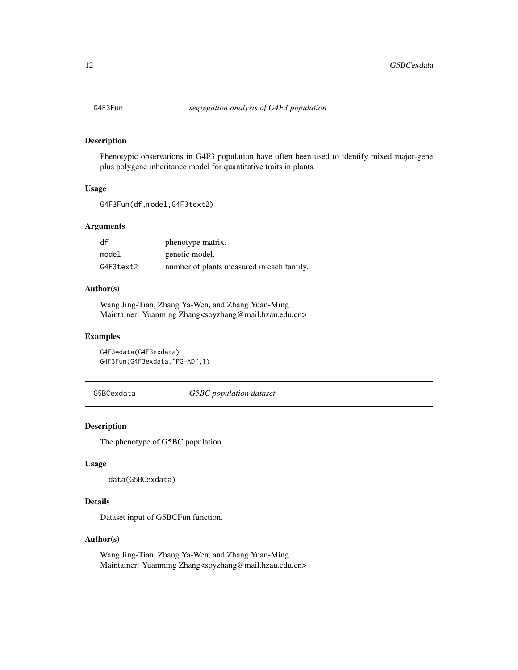<span id="page-11-0"></span>

Phenotypic observations in G4F3 population have often been used to identify mixed major-gene plus polygene inheritance model for quantitative traits in plants.

# Usage

```
G4F3Fun(df,model,G4F3text2)
```
#### Arguments

| df        | phenotype matrix.                         |
|-----------|-------------------------------------------|
| model     | genetic model.                            |
| G4F3text2 | number of plants measured in each family. |

# Author(s)

Wang Jing-Tian, Zhang Ya-Wen, and Zhang Yuan-Ming Maintainer: Yuanming Zhang<soyzhang@mail.hzau.edu.cn>

#### Examples

```
G4F3=data(G4F3exdata)
G4F3Fun(G4F3exdata,"PG-AD",1)
```
G5BCexdata *G5BC population dataset*

#### Description

The phenotype of G5BC population .

#### Usage

```
data(G5BCexdata)
```
# Details

Dataset input of G5BCFun function.

# Author(s)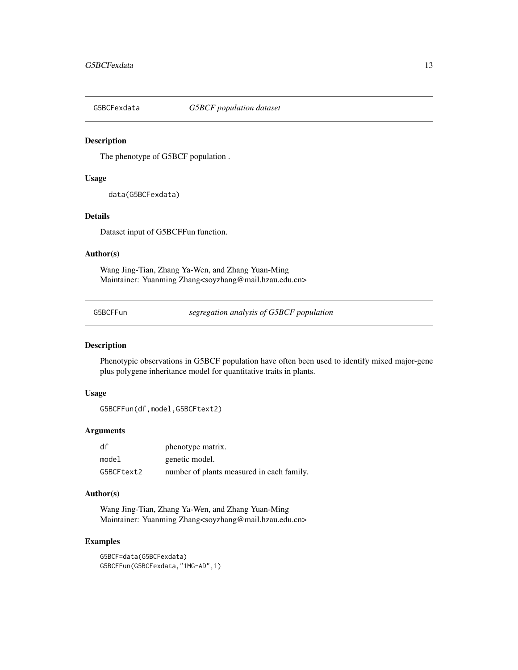<span id="page-12-0"></span>

The phenotype of G5BCF population .

#### Usage

data(G5BCFexdata)

#### Details

Dataset input of G5BCFFun function.

#### Author(s)

Wang Jing-Tian, Zhang Ya-Wen, and Zhang Yuan-Ming Maintainer: Yuanming Zhang<soyzhang@mail.hzau.edu.cn>

G5BCFFun *segregation analysis of G5BCF population*

## Description

Phenotypic observations in G5BCF population have often been used to identify mixed major-gene plus polygene inheritance model for quantitative traits in plants.

# Usage

```
G5BCFFun(df,model,G5BCFtext2)
```
# Arguments

| df         | phenotype matrix.                         |
|------------|-------------------------------------------|
| model      | genetic model.                            |
| G5BCFtext2 | number of plants measured in each family. |

# Author(s)

Wang Jing-Tian, Zhang Ya-Wen, and Zhang Yuan-Ming Maintainer: Yuanming Zhang<soyzhang@mail.hzau.edu.cn>

# Examples

G5BCF=data(G5BCFexdata) G5BCFFun(G5BCFexdata,"1MG-AD",1)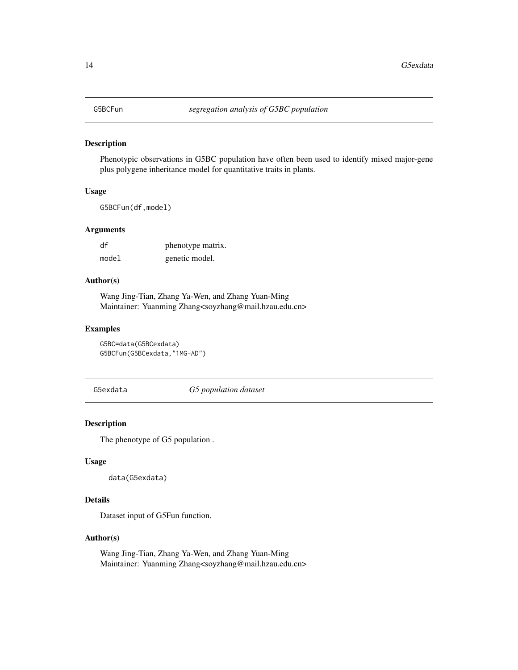<span id="page-13-0"></span>Phenotypic observations in G5BC population have often been used to identify mixed major-gene plus polygene inheritance model for quantitative traits in plants.

# Usage

G5BCFun(df,model)

# Arguments

| df    | phenotype matrix. |
|-------|-------------------|
| model | genetic model.    |

#### Author(s)

Wang Jing-Tian, Zhang Ya-Wen, and Zhang Yuan-Ming Maintainer: Yuanming Zhang<soyzhang@mail.hzau.edu.cn>

#### Examples

```
G5BC=data(G5BCexdata)
G5BCFun(G5BCexdata,"1MG-AD")
```
G5exdata *G5 population dataset*

# Description

The phenotype of G5 population .

#### Usage

```
data(G5exdata)
```
# Details

Dataset input of G5Fun function.

#### Author(s)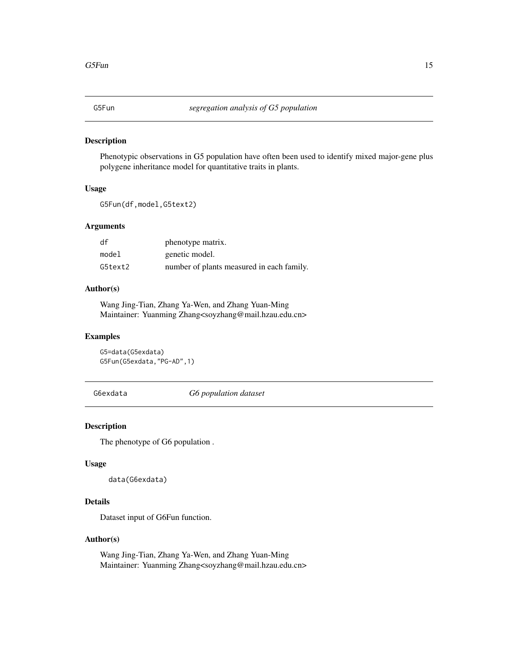<span id="page-14-0"></span>

Phenotypic observations in G5 population have often been used to identify mixed major-gene plus polygene inheritance model for quantitative traits in plants.

# Usage

G5Fun(df,model,G5text2)

# Arguments

| df      | phenotype matrix.                         |
|---------|-------------------------------------------|
| model   | genetic model.                            |
| G5text2 | number of plants measured in each family. |

# Author(s)

Wang Jing-Tian, Zhang Ya-Wen, and Zhang Yuan-Ming Maintainer: Yuanming Zhang<soyzhang@mail.hzau.edu.cn>

#### Examples

```
G5=data(G5exdata)
G5Fun(G5exdata,"PG-AD",1)
```
G6exdata *G6 population dataset*

#### Description

The phenotype of G6 population .

#### Usage

data(G6exdata)

# Details

Dataset input of G6Fun function.

# Author(s)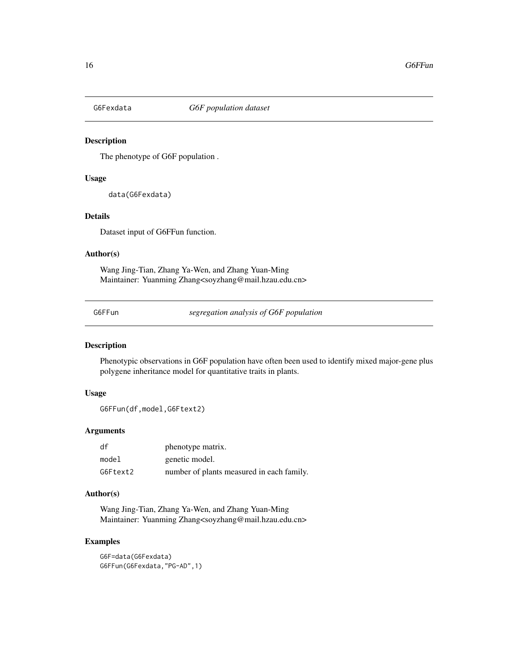<span id="page-15-0"></span>

The phenotype of G6F population .

#### Usage

data(G6Fexdata)

#### Details

Dataset input of G6FFun function.

#### Author(s)

Wang Jing-Tian, Zhang Ya-Wen, and Zhang Yuan-Ming Maintainer: Yuanming Zhang<soyzhang@mail.hzau.edu.cn>

G6FFun *segregation analysis of G6F population*

## Description

Phenotypic observations in G6F population have often been used to identify mixed major-gene plus polygene inheritance model for quantitative traits in plants.

#### Usage

G6FFun(df,model,G6Ftext2)

#### Arguments

| df       | phenotype matrix.                         |
|----------|-------------------------------------------|
| model    | genetic model.                            |
| G6Ftext2 | number of plants measured in each family. |

# Author(s)

Wang Jing-Tian, Zhang Ya-Wen, and Zhang Yuan-Ming Maintainer: Yuanming Zhang<soyzhang@mail.hzau.edu.cn>

# Examples

G6F=data(G6Fexdata) G6FFun(G6Fexdata,"PG-AD",1)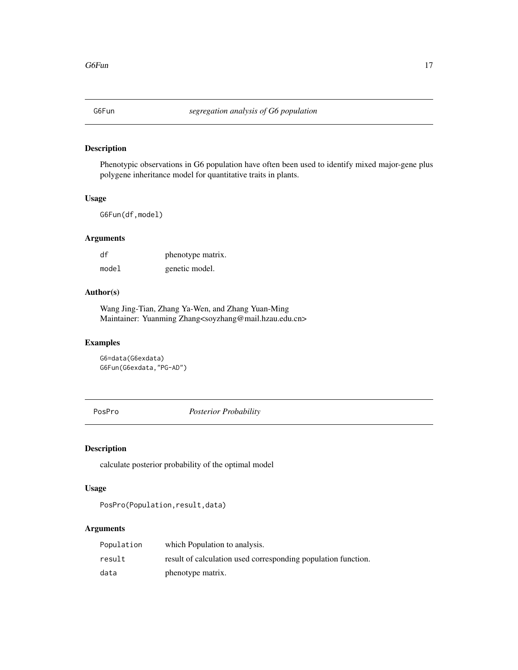<span id="page-16-0"></span>Phenotypic observations in G6 population have often been used to identify mixed major-gene plus polygene inheritance model for quantitative traits in plants.

#### Usage

G6Fun(df,model)

# Arguments

| df    | phenotype matrix. |
|-------|-------------------|
| model | genetic model.    |

# Author(s)

Wang Jing-Tian, Zhang Ya-Wen, and Zhang Yuan-Ming Maintainer: Yuanming Zhang<soyzhang@mail.hzau.edu.cn>

# Examples

G6=data(G6exdata) G6Fun(G6exdata,"PG-AD")

PosPro *Posterior Probability*

#### Description

calculate posterior probability of the optimal model

# Usage

PosPro(Population, result, data)

# Arguments

| Population | which Population to analysis.                                 |
|------------|---------------------------------------------------------------|
| result     | result of calculation used corresponding population function. |
| data       | phenotype matrix.                                             |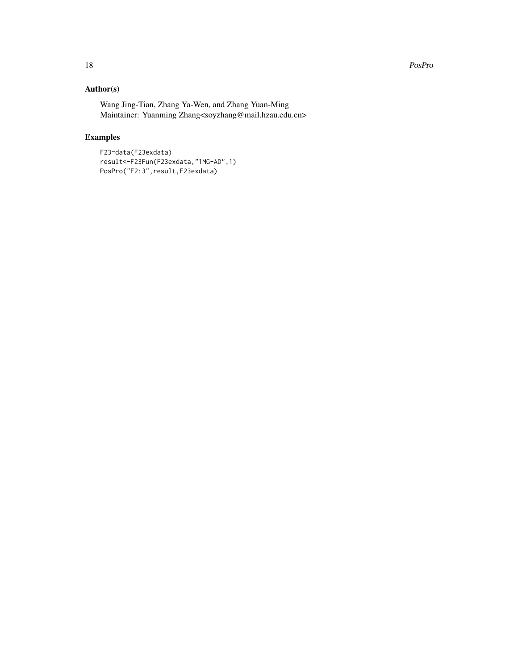# Author(s)

Wang Jing-Tian, Zhang Ya-Wen, and Zhang Yuan-Ming Maintainer: Yuanming Zhang<soyzhang@mail.hzau.edu.cn>

# Examples

```
F23=data(F23exdata)
result<-F23Fun(F23exdata,"1MG-AD",1)
PosPro("F2:3", result, F23exdata)
```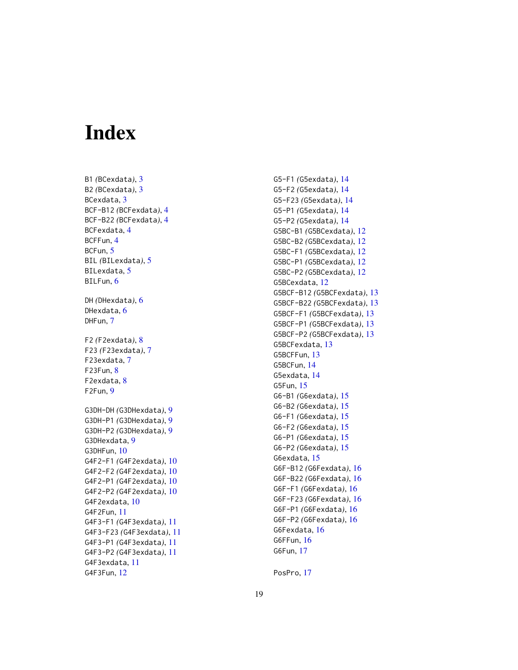# <span id="page-18-0"></span>**Index**

B1 *(*BCexdata *)* , [3](#page-2-0) B2 *(*BCexdata *)* , [3](#page-2-0) BCexdata , [3](#page-2-0) BCF-B12 *(*BCFexdata *)* , [4](#page-3-0) BCF-B22 *(*BCFexdata *)* , [4](#page-3-0) BCFexdata , [4](#page-3-0) BCFFun , [4](#page-3-0) BCFun, <mark>[5](#page-4-0)</mark> BIL *(*BILexdata *)* , [5](#page-4-0) BILexdata, [5](#page-4-0) BILFun, [6](#page-5-0) DH *(*DHexdata *)* , [6](#page-5-0) DHexdata, [6](#page-5-0) DHFun, [7](#page-6-0) F2 *(*F2exdata *)* , [8](#page-7-0) F23 *(*F23exdata *)* , [7](#page-6-0) F23exdata, [7](#page-6-0) F23Fun , [8](#page-7-0) F2exdata, [8](#page-7-0) F2Fun , [9](#page-8-0) G3DH-DH *(*G3DHexdata *)* , [9](#page-8-0) G3DH-P1 *(*G3DHexdata *)* , [9](#page-8-0) G3DH-P2 *(*G3DHexdata *)* , [9](#page-8-0) G3DHexdata , [9](#page-8-0) G3DHFun , [10](#page-9-0) G4F2-F1 *(*G4F2exdata *)* , [10](#page-9-0) G4F2-F2 *(*G4F2exdata *)* , [10](#page-9-0) G4F2-P1 *(*G4F2exdata *)* , [10](#page-9-0) G4F2-P2 *(*G4F2exdata *)* , [10](#page-9-0) G4F2exdata , [10](#page-9-0) G4F2Fun , [11](#page-10-0) G4F3-F1 *(*G4F3exdata *)* , [11](#page-10-0) G4F3-F23 *(*G4F3exdata *)* , [11](#page-10-0) G4F3-P1 *(*G4F3exdata *)* , [11](#page-10-0) G4F3-P2 *(*G4F3exdata *)* , [11](#page-10-0) G4F3exdata , [11](#page-10-0) G4F3Fun , [12](#page-11-0)

G5-F1 *(*G5exdata *)* , [14](#page-13-0) G5-F2 *(*G5exdata *)* , [14](#page-13-0) G5-F23 *(*G5exdata *)* , [14](#page-13-0) G5-P1 *(*G5exdata *)* , [14](#page-13-0) G5-P2 *(*G5exdata *)* , [14](#page-13-0) G5BC-B1 *(*G5BCexdata *)* , [12](#page-11-0) G5BC-B2 *(*G5BCexdata *)* , [12](#page-11-0) G5BC-F1 *(*G5BCexdata *)* , [12](#page-11-0) G5BC-P1 *(*G5BCexdata *)* , [12](#page-11-0) G5BC-P2 *(*G5BCexdata *)* , [12](#page-11-0) G5BCexdata , [12](#page-11-0) G5BCF-B12 *(*G5BCFexdata *)* , [13](#page-12-0) G5BCF-B22 *(*G5BCFexdata *)* , [13](#page-12-0) G5BCF-F1 *(*G5BCFexdata *)* , [13](#page-12-0) G5BCF-P1 *(*G5BCFexdata *)* , [13](#page-12-0) G5BCF-P2 *(*G5BCFexdata *)* , [13](#page-12-0) G5BCFexdata , [13](#page-12-0) G5BCFFun, [13](#page-12-0) G5BCFun , [14](#page-13-0) G5exdata , [14](#page-13-0) G5Fun , [15](#page-14-0) G6-B1 *(*G6exdata *)* , [15](#page-14-0) G6-B2 *(*G6exdata *)* , [15](#page-14-0) G6-F1 *(*G6exdata *)* , [15](#page-14-0) G6-F2 *(*G6exdata *)* , [15](#page-14-0) G6-P1 *(*G6exdata *)* , [15](#page-14-0) G6-P2 *(*G6exdata *)* , [15](#page-14-0) G6exdata , [15](#page-14-0) G6F-B12 *(*G6Fexdata *)* , [16](#page-15-0) G6F-B22 *(*G6Fexdata *)* , [16](#page-15-0) G6F-F1 *(*G6Fexdata *)* , [16](#page-15-0) G6F-F23 *(*G6Fexdata *)* , [16](#page-15-0) G6F-P1 *(*G6Fexdata *)* , [16](#page-15-0) G6F-P2 *(*G6Fexdata *)* , [16](#page-15-0) G6Fexdata , [16](#page-15-0) G6FFun , [16](#page-15-0) G6Fun , [17](#page-16-0)

PosPro , [17](#page-16-0)